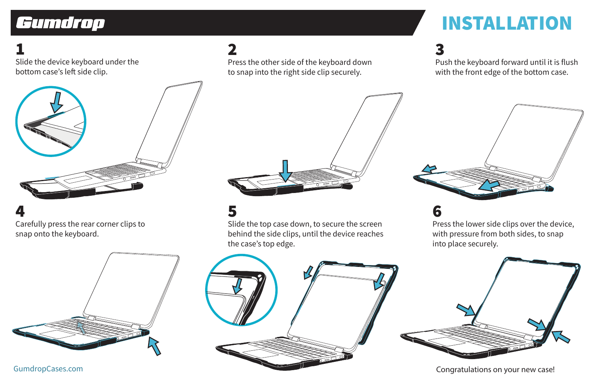# Gumdrop

# INSTALLATION

1 Slide the device keyboard under the bottom case's left side clip.



4 Carefully press the rear corner clips to snap onto the keyboard.



2 Press the other side of the keyboard down to snap into the right side clip securely.

5 Slide the top case down, to secure the screen behind the side clips, until the device reaches the case's top edge.

3 Push the keyboard forward until it is flush with the front edge of the bottom case.



## 6

Press the lower side clips over the device, with pressure from both sides, to snap into place securely.





## GumdropCases.com **Congratulations on your new case!** Congratulations on your new case!